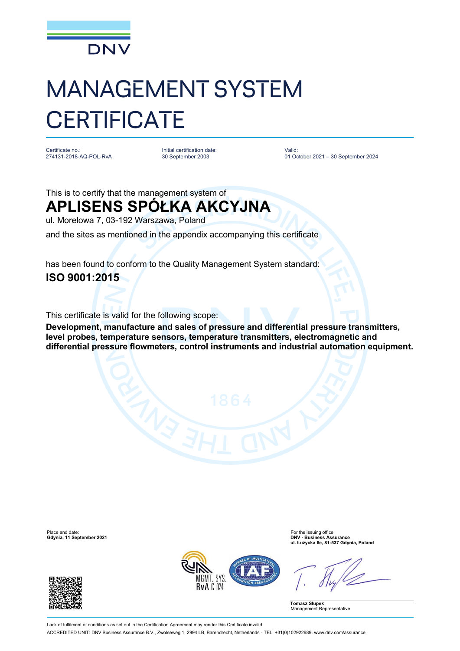

## MANAGEMENT SYSTEM **CERTIFICATE**

Certificate no.: 274131-2018-AQ-POL-RvA Initial certification date: 30 September 2003

Valid: 01 October 2021 – 30 September 2024

This is to certify that the management system of **APLISENS SPÓŁKA AKCYJNA**

ul. Morelowa 7, 03-192 Warszawa, Poland

and the sites as mentioned in the appendix accompanying this certificate

has been found to conform to the Quality Management System standard: **ISO 9001:2015**

This certificate is valid for the following scope:

**Development, manufacture and sales of pressure and differential pressure transmitters, level probes, temperature sensors, temperature transmitters, electromagnetic and differential pressure flowmeters, control instruments and industrial automation equipment.**

Place and date:<br> **Place and date:** For the issuing office:<br> **Gdynia.** 11 September 2021 **Gdynia, 11 September 2021** 





**ul. Łużycka 6e, 81-537 Gdynia, Poland**

**Tomasz Słupek** Management Representative

Lack of fulfilment of conditions as set out in the Certification Agreement may render this Certificate invalid. ACCREDITED UNIT: DNV Business Assurance B.V., Zwolseweg 1, 2994 LB, Barendrecht, Netherlands - TEL: +31(0)102922689. [www.dnv.com/assurance](http://www.dnv.com/assurance)